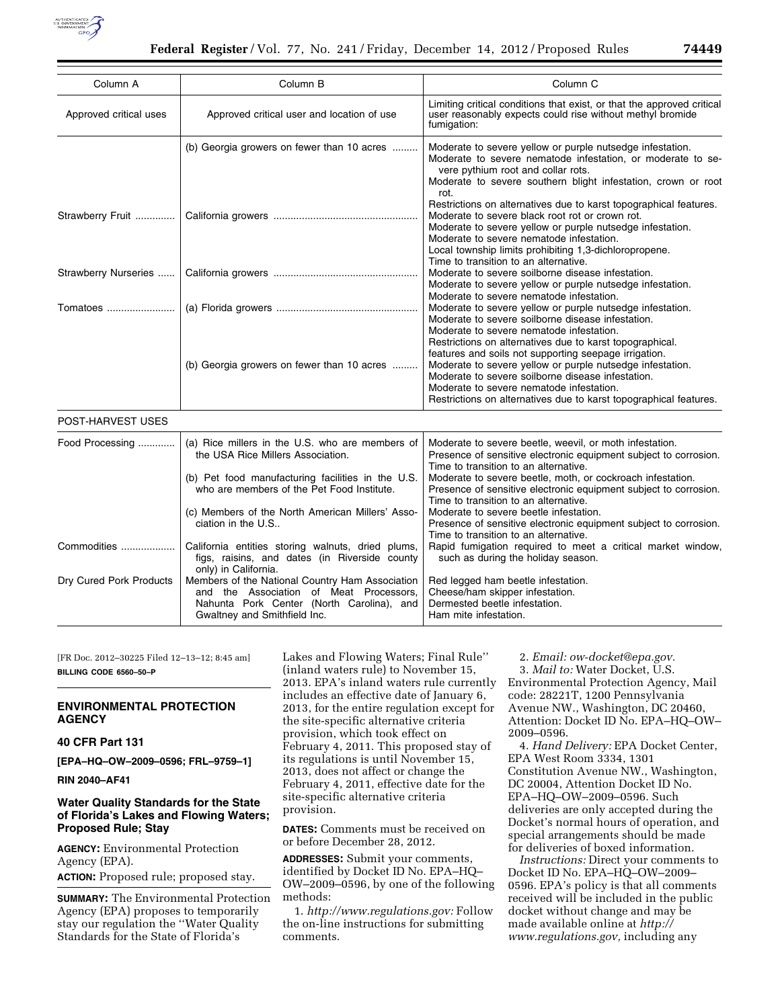

| Column A                | Column B                                                                                                                                                                | Column <sub>C</sub>                                                                                                                                                                                                                                                                                                              |
|-------------------------|-------------------------------------------------------------------------------------------------------------------------------------------------------------------------|----------------------------------------------------------------------------------------------------------------------------------------------------------------------------------------------------------------------------------------------------------------------------------------------------------------------------------|
| Approved critical uses  | Approved critical user and location of use                                                                                                                              | Limiting critical conditions that exist, or that the approved critical<br>user reasonably expects could rise without methyl bromide<br>fumigation:                                                                                                                                                                               |
|                         | (b) Georgia growers on fewer than 10 acres                                                                                                                              | Moderate to severe yellow or purple nutsedge infestation.<br>Moderate to severe nematode infestation, or moderate to se-<br>vere pythium root and collar rots.<br>Moderate to severe southern blight infestation, crown or root<br>rot.                                                                                          |
| Strawberry Fruit        |                                                                                                                                                                         | Restrictions on alternatives due to karst topographical features.<br>Moderate to severe black root rot or crown rot.<br>Moderate to severe yellow or purple nutsedge infestation.<br>Moderate to severe nematode infestation.<br>Local township limits prohibiting 1,3-dichloropropene.<br>Time to transition to an alternative. |
| Strawberry Nurseries    |                                                                                                                                                                         | Moderate to severe soilborne disease infestation.<br>Moderate to severe yellow or purple nutsedge infestation.<br>Moderate to severe nematode infestation.                                                                                                                                                                       |
| Tomatoes                |                                                                                                                                                                         | Moderate to severe yellow or purple nutsedge infestation.<br>Moderate to severe soilborne disease infestation.<br>Moderate to severe nematode infestation.<br>Restrictions on alternatives due to karst topographical.                                                                                                           |
|                         | (b) Georgia growers on fewer than 10 acres                                                                                                                              | features and soils not supporting seepage irrigation.<br>Moderate to severe yellow or purple nutsedge infestation.<br>Moderate to severe soilborne disease infestation.<br>Moderate to severe nematode infestation.<br>Restrictions on alternatives due to karst topographical features.                                         |
| POST-HARVEST USES       |                                                                                                                                                                         |                                                                                                                                                                                                                                                                                                                                  |
| Food Processing         | (a) Rice millers in the U.S. who are members of<br>the USA Rice Millers Association.                                                                                    | Moderate to severe beetle, weevil, or moth infestation.<br>Presence of sensitive electronic equipment subject to corrosion.<br>Time to transition to an alternative.                                                                                                                                                             |
|                         | (b) Pet food manufacturing facilities in the U.S.<br>who are members of the Pet Food Institute.                                                                         | Moderate to severe beetle, moth, or cockroach infestation.<br>Presence of sensitive electronic equipment subject to corrosion.<br>Time to transition to an alternative.                                                                                                                                                          |
|                         | (c) Members of the North American Millers' Asso-<br>ciation in the U.S                                                                                                  | Moderate to severe beetle infestation.<br>Presence of sensitive electronic equipment subject to corrosion.<br>Time to transition to an alternative.                                                                                                                                                                              |
| Commodities             | California entities storing walnuts, dried plums,<br>figs, raisins, and dates (in Riverside county<br>only) in California.                                              | Rapid fumigation required to meet a critical market window,<br>such as during the holiday season.                                                                                                                                                                                                                                |
| Dry Cured Pork Products | Members of the National Country Ham Association<br>and the Association of Meat Processors,<br>Nahunta Pork Center (North Carolina), and<br>Gwaltney and Smithfield Inc. | Red legged ham beetle infestation.<br>Cheese/ham skipper infestation.<br>Dermested beetle infestation.<br>Ham mite infestation.                                                                                                                                                                                                  |

[FR Doc. 2012–30225 Filed 12–13–12; 8:45 am] **BILLING CODE 6560–50–P** 

# **ENVIRONMENTAL PROTECTION AGENCY**

# **40 CFR Part 131**

**[EPA–HQ–OW–2009–0596; FRL–9759–1]** 

**RIN 2040–AF41** 

# **Water Quality Standards for the State of Florida's Lakes and Flowing Waters; Proposed Rule; Stay**

**AGENCY:** Environmental Protection Agency (EPA).

**ACTION:** Proposed rule; proposed stay.

**SUMMARY:** The Environmental Protection Agency (EPA) proposes to temporarily stay our regulation the ''Water Quality Standards for the State of Florida's

Lakes and Flowing Waters; Final Rule'' (inland waters rule) to November 15, 2013. EPA's inland waters rule currently includes an effective date of January 6, 2013, for the entire regulation except for the site-specific alternative criteria provision, which took effect on February 4, 2011. This proposed stay of its regulations is until November 15, 2013, does not affect or change the February 4, 2011, effective date for the site-specific alternative criteria provision.

**DATES:** Comments must be received on or before December 28, 2012.

**ADDRESSES:** Submit your comments, identified by Docket ID No. EPA–HQ– OW–2009–0596, by one of the following methods:

1. *http://www.regulations.gov:* Follow the on-line instructions for submitting comments.

2. *Email: ow-docket@epa.gov.* 

3. *Mail to:* Water Docket, U.S. Environmental Protection Agency, Mail code: 28221T, 1200 Pennsylvania Avenue NW., Washington, DC 20460, Attention: Docket ID No. EPA–HQ–OW– 2009–0596.

4. *Hand Delivery:* EPA Docket Center, EPA West Room 3334, 1301 Constitution Avenue NW., Washington, DC 20004, Attention Docket ID No. EPA–HQ–OW–2009–0596. Such deliveries are only accepted during the Docket's normal hours of operation, and special arrangements should be made for deliveries of boxed information.

*Instructions:* Direct your comments to Docket ID No. EPA–HQ–OW–2009– 0596. EPA's policy is that all comments received will be included in the public docket without change and may be made available online at *http:// www.regulations.gov,* including any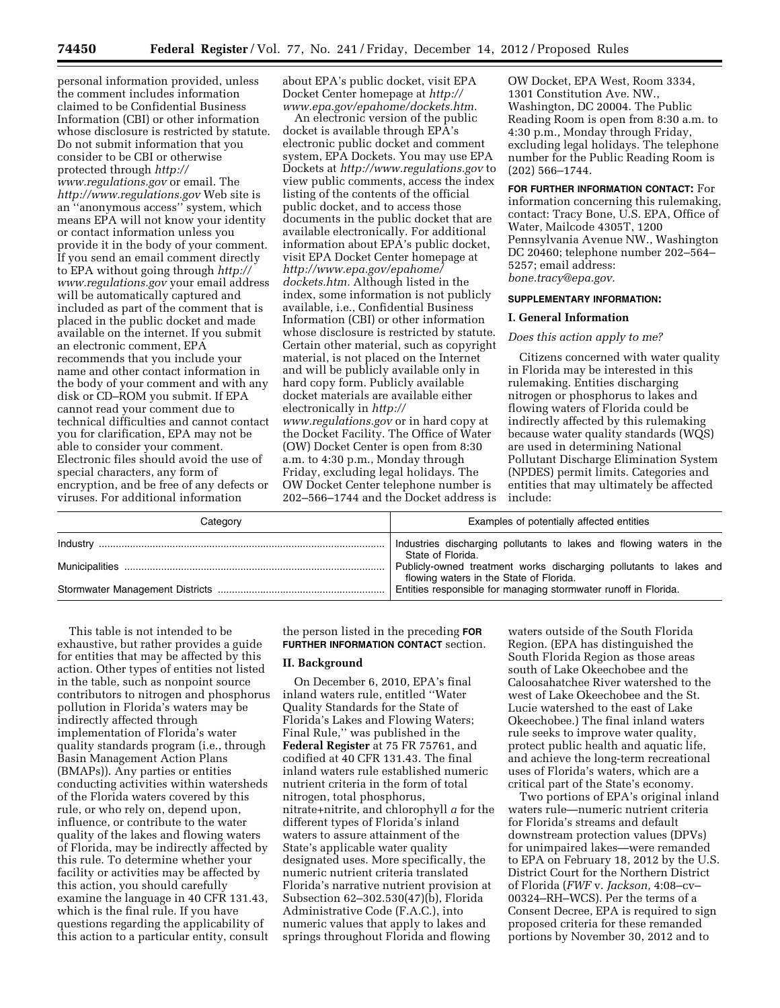personal information provided, unless the comment includes information claimed to be Confidential Business Information (CBI) or other information whose disclosure is restricted by statute. Do not submit information that you consider to be CBI or otherwise protected through *http:// www.regulations.gov* or email. The *http://www.regulations.gov* Web site is an ''anonymous access'' system, which means EPA will not know your identity or contact information unless you provide it in the body of your comment. If you send an email comment directly to EPA without going through *http:// www.regulations.gov* your email address will be automatically captured and included as part of the comment that is placed in the public docket and made available on the internet. If you submit an electronic comment, EPA recommends that you include your name and other contact information in the body of your comment and with any disk or CD–ROM you submit. If EPA cannot read your comment due to technical difficulties and cannot contact you for clarification, EPA may not be able to consider your comment. Electronic files should avoid the use of special characters, any form of encryption, and be free of any defects or viruses. For additional information

about EPA's public docket, visit EPA Docket Center homepage at *http:// www.epa.gov/epahome/dockets.htm.* 

An electronic version of the public docket is available through EPA's electronic public docket and comment system, EPA Dockets. You may use EPA Dockets at *http://www.regulations.gov* to view public comments, access the index listing of the contents of the official public docket, and to access those documents in the public docket that are available electronically. For additional information about EPA's public docket, visit EPA Docket Center homepage at *http://www.epa.gov/epahome/ dockets.htm.* Although listed in the index, some information is not publicly available, i.e., Confidential Business Information (CBI) or other information whose disclosure is restricted by statute. Certain other material, such as copyright material, is not placed on the Internet and will be publicly available only in hard copy form. Publicly available docket materials are available either electronically in *http:// www.regulations.gov* or in hard copy at the Docket Facility. The Office of Water (OW) Docket Center is open from 8:30 a.m. to 4:30 p.m., Monday through Friday, excluding legal holidays. The OW Docket Center telephone number is 202–566–1744 and the Docket address is OW Docket, EPA West, Room 3334, 1301 Constitution Ave. NW., Washington, DC 20004. The Public Reading Room is open from 8:30 a.m. to 4:30 p.m., Monday through Friday, excluding legal holidays. The telephone number for the Public Reading Room is (202) 566–1744.

**FOR FURTHER INFORMATION CONTACT:** For information concerning this rulemaking, contact: Tracy Bone, U.S. EPA, Office of Water, Mailcode 4305T, 1200 Pennsylvania Avenue NW., Washington DC 20460; telephone number 202–564– 5257; email address: *bone.tracy@epa.gov.* 

#### **SUPPLEMENTARY INFORMATION:**

#### **I. General Information**

#### *Does this action apply to me?*

Citizens concerned with water quality in Florida may be interested in this rulemaking. Entities discharging nitrogen or phosphorus to lakes and flowing waters of Florida could be indirectly affected by this rulemaking because water quality standards (WQS) are used in determining National Pollutant Discharge Elimination System (NPDES) permit limits. Categories and entities that may ultimately be affected include:

| Category | Examples of potentially affected entities                                                                     |
|----------|---------------------------------------------------------------------------------------------------------------|
|          | Industries discharging pollutants to lakes and flowing waters in the<br>State of Florida.                     |
|          | Publicly-owned treatment works discharging pollutants to lakes and<br>flowing waters in the State of Florida. |
|          | Entities responsible for managing stormwater runoff in Florida.                                               |

This table is not intended to be exhaustive, but rather provides a guide for entities that may be affected by this action. Other types of entities not listed in the table, such as nonpoint source contributors to nitrogen and phosphorus pollution in Florida's waters may be indirectly affected through implementation of Florida's water quality standards program (i.e., through Basin Management Action Plans (BMAPs)). Any parties or entities conducting activities within watersheds of the Florida waters covered by this rule, or who rely on, depend upon, influence, or contribute to the water quality of the lakes and flowing waters of Florida, may be indirectly affected by this rule. To determine whether your facility or activities may be affected by this action, you should carefully examine the language in 40 CFR 131.43, which is the final rule. If you have questions regarding the applicability of this action to a particular entity, consult

the person listed in the preceding **FOR FURTHER INFORMATION CONTACT** section.

### **II. Background**

On December 6, 2010, EPA's final inland waters rule, entitled ''Water Quality Standards for the State of Florida's Lakes and Flowing Waters; Final Rule,'' was published in the **Federal Register** at 75 FR 75761, and codified at 40 CFR 131.43. The final inland waters rule established numeric nutrient criteria in the form of total nitrogen, total phosphorus, nitrate+nitrite, and chlorophyll *a* for the different types of Florida's inland waters to assure attainment of the State's applicable water quality designated uses. More specifically, the numeric nutrient criteria translated Florida's narrative nutrient provision at Subsection 62–302.530(47)(b), Florida Administrative Code (F.A.C.), into numeric values that apply to lakes and springs throughout Florida and flowing

waters outside of the South Florida Region. (EPA has distinguished the South Florida Region as those areas south of Lake Okeechobee and the Caloosahatchee River watershed to the west of Lake Okeechobee and the St. Lucie watershed to the east of Lake Okeechobee.) The final inland waters rule seeks to improve water quality, protect public health and aquatic life, and achieve the long-term recreational uses of Florida's waters, which are a critical part of the State's economy.

Two portions of EPA's original inland waters rule—numeric nutrient criteria for Florida's streams and default downstream protection values (DPVs) for unimpaired lakes—were remanded to EPA on February 18, 2012 by the U.S. District Court for the Northern District of Florida (*FWF* v. *Jackson,* 4:08–cv– 00324–RH–WCS). Per the terms of a Consent Decree, EPA is required to sign proposed criteria for these remanded portions by November 30, 2012 and to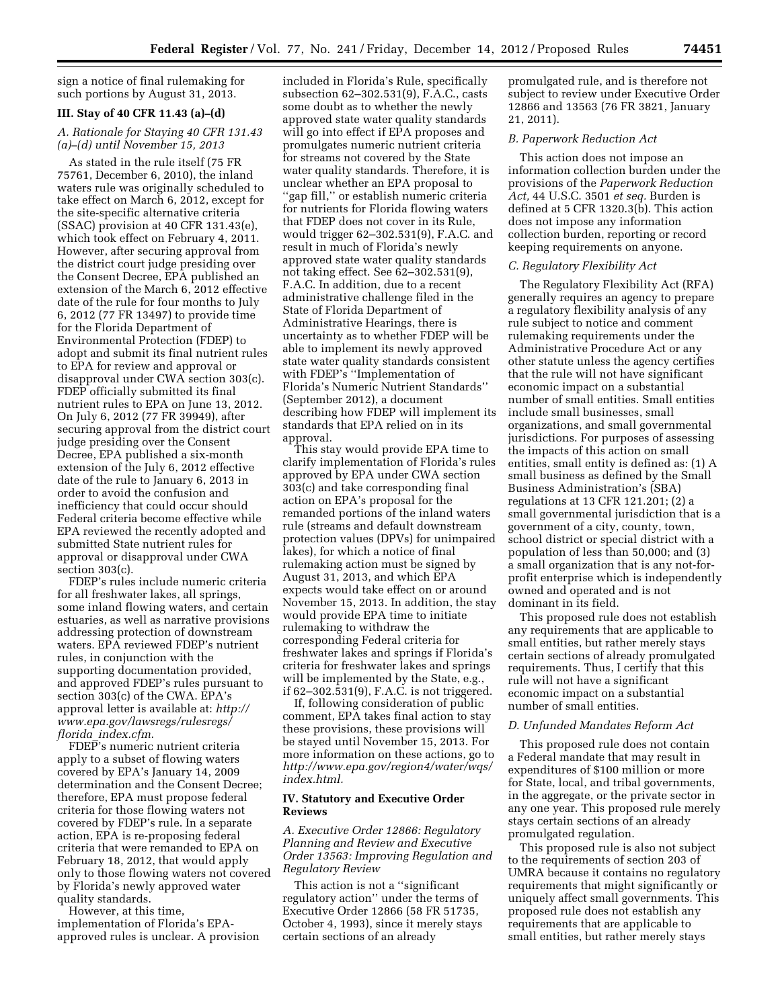sign a notice of final rulemaking for such portions by August 31, 2013.

## **III. Stay of 40 CFR 11.43 (a)–(d)**

## *A. Rationale for Staying 40 CFR 131.43 (a)–(d) until November 15, 2013*

As stated in the rule itself (75 FR 75761, December 6, 2010), the inland waters rule was originally scheduled to take effect on March 6, 2012, except for the site-specific alternative criteria (SSAC) provision at 40 CFR 131.43(e), which took effect on February 4, 2011. However, after securing approval from the district court judge presiding over the Consent Decree, EPA published an extension of the March 6, 2012 effective date of the rule for four months to July 6, 2012 (77 FR 13497) to provide time for the Florida Department of Environmental Protection (FDEP) to adopt and submit its final nutrient rules to EPA for review and approval or disapproval under CWA section 303(c). FDEP officially submitted its final nutrient rules to EPA on June 13, 2012. On July 6, 2012 (77 FR 39949), after securing approval from the district court judge presiding over the Consent Decree, EPA published a six-month extension of the July 6, 2012 effective date of the rule to January 6, 2013 in order to avoid the confusion and inefficiency that could occur should Federal criteria become effective while EPA reviewed the recently adopted and submitted State nutrient rules for approval or disapproval under CWA section 303(c).

FDEP's rules include numeric criteria for all freshwater lakes, all springs, some inland flowing waters, and certain estuaries, as well as narrative provisions addressing protection of downstream waters. EPA reviewed FDEP's nutrient rules, in conjunction with the supporting documentation provided, and approved FDEP's rules pursuant to section 303(c) of the CWA. EPA's approval letter is available at: *http:// www.epa.gov/lawsregs/rulesregs/ florida*\_*index.cfm.* 

FDEP's numeric nutrient criteria apply to a subset of flowing waters covered by EPA's January 14, 2009 determination and the Consent Decree; therefore, EPA must propose federal criteria for those flowing waters not covered by FDEP's rule. In a separate action, EPA is re-proposing federal criteria that were remanded to EPA on February 18, 2012, that would apply only to those flowing waters not covered by Florida's newly approved water quality standards.

However, at this time, implementation of Florida's EPAapproved rules is unclear. A provision

included in Florida's Rule, specifically subsection 62–302.531(9), F.A.C., casts some doubt as to whether the newly approved state water quality standards will go into effect if EPA proposes and promulgates numeric nutrient criteria for streams not covered by the State water quality standards. Therefore, it is unclear whether an EPA proposal to ''gap fill,'' or establish numeric criteria for nutrients for Florida flowing waters that FDEP does not cover in its Rule, would trigger 62–302.531(9), F.A.C. and result in much of Florida's newly approved state water quality standards not taking effect. See 62–302.531(9), F.A.C. In addition, due to a recent administrative challenge filed in the State of Florida Department of Administrative Hearings, there is uncertainty as to whether FDEP will be able to implement its newly approved state water quality standards consistent with FDEP's ''Implementation of Florida's Numeric Nutrient Standards'' (September 2012), a document describing how FDEP will implement its standards that EPA relied on in its approval.

This stay would provide EPA time to clarify implementation of Florida's rules approved by EPA under CWA section 303(c) and take corresponding final action on EPA's proposal for the remanded portions of the inland waters rule (streams and default downstream protection values (DPVs) for unimpaired lakes), for which a notice of final rulemaking action must be signed by August 31, 2013, and which EPA expects would take effect on or around November 15, 2013. In addition, the stay would provide EPA time to initiate rulemaking to withdraw the corresponding Federal criteria for freshwater lakes and springs if Florida's criteria for freshwater lakes and springs will be implemented by the State, e.g., if 62–302.531(9), F.A.C. is not triggered.

If, following consideration of public comment, EPA takes final action to stay these provisions, these provisions will be stayed until November 15, 2013. For more information on these actions, go to *http://www.epa.gov/region4/water/wqs/ index.html.* 

#### **IV. Statutory and Executive Order Reviews**

## *A. Executive Order 12866: Regulatory Planning and Review and Executive Order 13563: Improving Regulation and Regulatory Review*

This action is not a ''significant regulatory action'' under the terms of Executive Order 12866 (58 FR 51735, October 4, 1993), since it merely stays certain sections of an already

promulgated rule, and is therefore not subject to review under Executive Order 12866 and 13563 (76 FR 3821, January 21, 2011).

# *B. Paperwork Reduction Act*

This action does not impose an information collection burden under the provisions of the *Paperwork Reduction Act,* 44 U.S.C. 3501 *et seq.* Burden is defined at 5 CFR 1320.3(b). This action does not impose any information collection burden, reporting or record keeping requirements on anyone.

## *C. Regulatory Flexibility Act*

The Regulatory Flexibility Act (RFA) generally requires an agency to prepare a regulatory flexibility analysis of any rule subject to notice and comment rulemaking requirements under the Administrative Procedure Act or any other statute unless the agency certifies that the rule will not have significant economic impact on a substantial number of small entities. Small entities include small businesses, small organizations, and small governmental jurisdictions. For purposes of assessing the impacts of this action on small entities, small entity is defined as: (1) A small business as defined by the Small Business Administration's (SBA) regulations at 13 CFR 121.201; (2) a small governmental jurisdiction that is a government of a city, county, town, school district or special district with a population of less than 50,000; and (3) a small organization that is any not-forprofit enterprise which is independently owned and operated and is not dominant in its field.

This proposed rule does not establish any requirements that are applicable to small entities, but rather merely stays certain sections of already promulgated requirements. Thus, I certify that this rule will not have a significant economic impact on a substantial number of small entities.

### *D. Unfunded Mandates Reform Act*

This proposed rule does not contain a Federal mandate that may result in expenditures of \$100 million or more for State, local, and tribal governments, in the aggregate, or the private sector in any one year. This proposed rule merely stays certain sections of an already promulgated regulation.

This proposed rule is also not subject to the requirements of section 203 of UMRA because it contains no regulatory requirements that might significantly or uniquely affect small governments. This proposed rule does not establish any requirements that are applicable to small entities, but rather merely stays